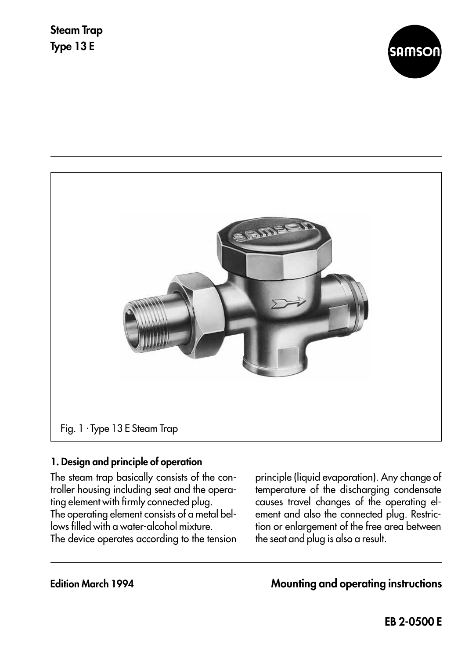



## **1. Design and principle of operation**

The steam trap basically consists of the controller housing including seat and the operating element with firmly connected plug. The operating element consists of a metal bellows filled with a water-alcohol mixture. The device operates according to the tension

principle (liquid evaporation). Any change of temperature of the discharging condensate causes travel changes of the operating element and also the connected plug. Restriction or enlargement of the free area between the seat and plug is also a result.

**Edition March 1994 Mounting and operating instructions**